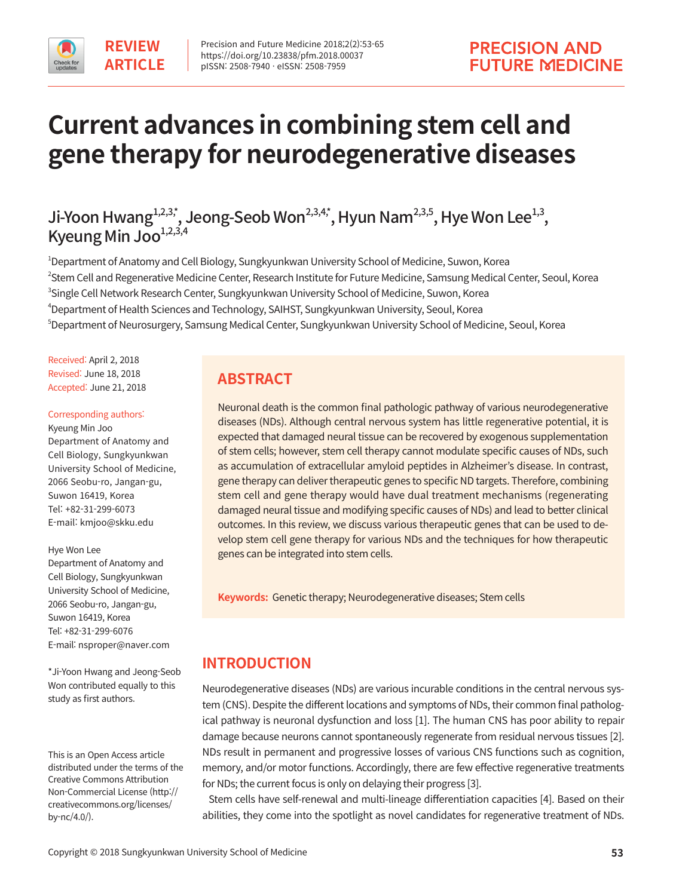

# **Current advances in combining stem cell and gene therapy for neurodegenerative diseases**

# Ji-Yoon Hwang $\sum_{i=1}^{3,3,3,4}$ , Jeong-Seob Won<sup>2,3,4,\*</sup>, Hyun Nam<sup>2,3,5</sup>, Hye Won Lee<sup>1,3</sup>, Kyeung Min Joo $^{1,2,3,4}$

 Department of Anatomy and Cell Biology, Sungkyunkwan University School of Medicine, Suwon, Korea Stem Cell and Regenerative Medicine Center, Research Institute for Future Medicine, Samsung Medical Center, Seoul, Korea Single Cell Network Research Center, Sungkyunkwan University School of Medicine, Suwon, Korea Department of Health Sciences and Technology, SAIHST, Sungkyunkwan University, Seoul, Korea  $^\circ$ Department of Neurosurgery, Samsung Medical Center, Sungkyunkwan University School of Medicine, Seoul, Korea

Received: April 2, 2018 Revised: June 18, 2018 Accepted: June 21, 2018

#### Corresponding authors:

Kyeung Min Joo Department of Anatomy and Cell Biology, Sungkyunkwan University School of Medicine, 2066 Seobu-ro, Jangan-gu, Suwon 16419, Korea Tel: +82-31-299-6073 E-mail: kmjoo@skku.edu

#### Hye Won Lee

Department of Anatomy and Cell Biology, Sungkyunkwan University School of Medicine, 2066 Seobu-ro, Jangan-gu, Suwon 16419, Korea Tel: +82-31-299-6076 E-mail: nsproper@naver.com

\*Ji-Yoon Hwang and Jeong-Seob Won contributed equally to this study as first authors.

This is an Open Access article distributed under the terms of the Creative Commons Attribution Non-Commercial License (http:// creativecommons.org/licenses/ by-nc/4.0/).

# **ABSTRACT**

Neuronal death is the common final pathologic pathway of various neurodegenerative diseases (NDs). Although central nervous system has little regenerative potential, it is expected that damaged neural tissue can be recovered by exogenous supplementation of stem cells; however, stem cell therapy cannot modulate specific causes of NDs, such as accumulation of extracellular amyloid peptides in Alzheimer's disease. In contrast, gene therapy can deliver therapeutic genes to specific ND targets. Therefore, combining stem cell and gene therapy would have dual treatment mechanisms (regenerating damaged neural tissue and modifying specific causes of NDs) and lead to better clinical outcomes. In this review, we discuss various therapeutic genes that can be used to develop stem cell gene therapy for various NDs and the techniques for how therapeutic genes can be integrated into stem cells.

**Keywords:** Genetic therapy; Neurodegenerative diseases; Stem cells

# **INTRODUCTION**

Neurodegenerative diseases (NDs) are various incurable conditions in the central nervous system (CNS). Despite the different locations and symptoms of NDs, their common final pathological pathway is neuronal dysfunction and loss [1]. The human CNS has poor ability to repair damage because neurons cannot spontaneously regenerate from residual nervous tissues [2]. NDs result in permanent and progressive losses of various CNS functions such as cognition, memory, and/or motor functions. Accordingly, there are few effective regenerative treatments for NDs; the current focus is only on delaying their progress [3].

Stem cells have self-renewal and multi-lineage differentiation capacities [4]. Based on their abilities, they come into the spotlight as novel candidates for regenerative treatment of NDs.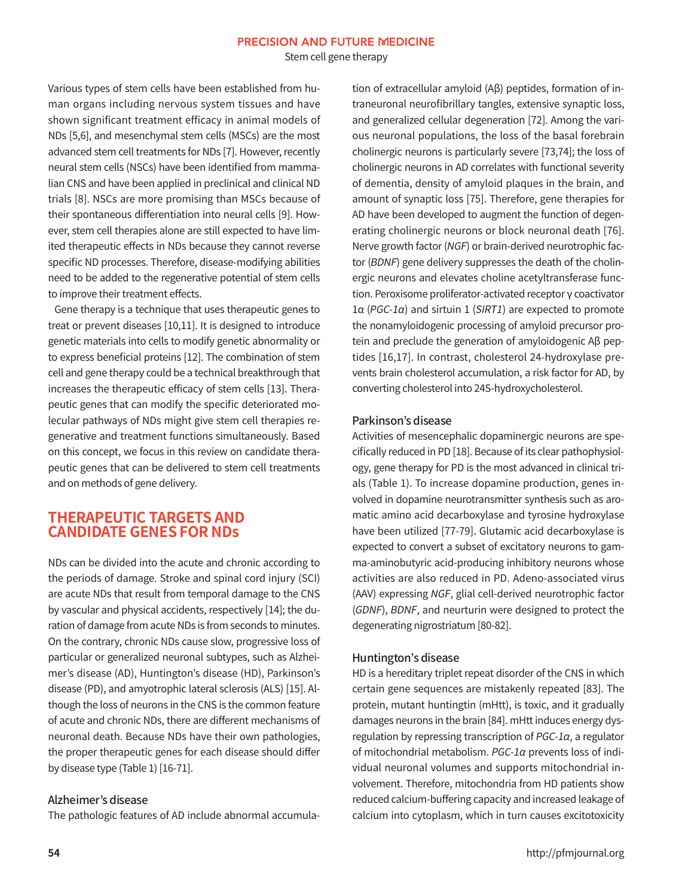Stem cell gene therapy

Various types of stem cells have been established from human organs including nervous system tissues and have shown significant treatment efficacy in animal models of NDs [5,6], and mesenchymal stem cells (MSCs) are the most advanced stem cell treatments for NDs [7]. However, recently neural stem cells (NSCs) have been identified from mammalian CNS and have been applied in preclinical and clinical ND trials [8]. NSCs are more promising than MSCs because of their spontaneous differentiation into neural cells [9]. However, stem cell therapies alone are still expected to have limited therapeutic effects in NDs because they cannot reverse specific ND processes. Therefore, disease-modifying abilities need to be added to the regenerative potential of stem cells to improve their treatment effects.

Gene therapy is a technique that uses therapeutic genes to treat or prevent diseases [10,11]. It is designed to introduce genetic materials into cells to modify genetic abnormality or to express beneficial proteins [12]. The combination of stem cell and gene therapy could be a technical breakthrough that increases the therapeutic efficacy of stem cells [13]. Therapeutic genes that can modify the specific deteriorated molecular pathways of NDs might give stem cell therapies regenerative and treatment functions simultaneously. Based on this concept, we focus in this review on candidate therapeutic genes that can be delivered to stem cell treatments and on methods of gene delivery.

## **THERAPEUTIC TARGETS AND CANDIDATE GENES FOR NDs**

NDs can be divided into the acute and chronic according to the periods of damage. Stroke and spinal cord injury (SCI) are acute NDs that result from temporal damage to the CNS by vascular and physical accidents, respectively [14]; the duration of damage from acute NDs is from seconds to minutes. On the contrary, chronic NDs cause slow, progressive loss of particular or generalized neuronal subtypes, such as Alzheimer's disease (AD), Huntington's disease (HD), Parkinson's disease (PD), and amyotrophic lateral sclerosis (ALS) [15]. Although the loss of neurons in the CNS is the common feature of acute and chronic NDs, there are different mechanisms of neuronal death. Because NDs have their own pathologies, the proper therapeutic genes for each disease should differ by disease type (Table 1) [16-71].

#### Alzheimer's disease

The pathologic features of AD include abnormal accumula-

tion of extracellular amyloid (Aβ) peptides, formation of intraneuronal neurofibrillary tangles, extensive synaptic loss, and generalized cellular degeneration [72]. Among the various neuronal populations, the loss of the basal forebrain cholinergic neurons is particularly severe [73,74]; the loss of cholinergic neurons in AD correlates with functional severity of dementia, density of amyloid plaques in the brain, and amount of synaptic loss [75]. Therefore, gene therapies for AD have been developed to augment the function of degenerating cholinergic neurons or block neuronal death [76]. Nerve growth factor (NGF) or brain-derived neurotrophic factor (BDNF) gene delivery suppresses the death of the cholinergic neurons and elevates choline acetyltransferase function. Peroxisome proliferator-activated receptor γ coactivator 1α (PGC-1α) and sirtuin 1 (SIRT1) are expected to promote the nonamyloidogenic processing of amyloid precursor protein and preclude the generation of amyloidogenic Aβ peptides [16,17]. In contrast, cholesterol 24-hydroxylase prevents brain cholesterol accumulation, a risk factor for AD, by converting cholesterol into 24S-hydroxycholesterol.

#### Parkinson's disease

Activities of mesencephalic dopaminergic neurons are specifically reduced in PD [18]. Because of its clear pathophysiology, gene therapy for PD is the most advanced in clinical trials (Table 1). To increase dopamine production, genes involved in dopamine neurotransmitter synthesis such as aromatic amino acid decarboxylase and tyrosine hydroxylase have been utilized [77-79]. Glutamic acid decarboxylase is expected to convert a subset of excitatory neurons to gamma-aminobutyric acid-producing inhibitory neurons whose activities are also reduced in PD. Adeno-associated virus (AAV) expressing NGF, glial cell-derived neurotrophic factor (GDNF), BDNF, and neurturin were designed to protect the degenerating nigrostriatum [80-82].

#### Huntington's disease

HD is a hereditary triplet repeat disorder of the CNS in which certain gene sequences are mistakenly repeated [83]. The protein, mutant huntingtin (mHtt), is toxic, and it gradually damages neurons in the brain [84]. mHtt induces energy dysregulation by repressing transcription of  $PGC-1\alpha$ , a regulator of mitochondrial metabolism. PGC-1α prevents loss of individual neuronal volumes and supports mitochondrial involvement. Therefore, mitochondria from HD patients show reduced calcium-buffering capacity and increased leakage of calcium into cytoplasm, which in turn causes excitotoxicity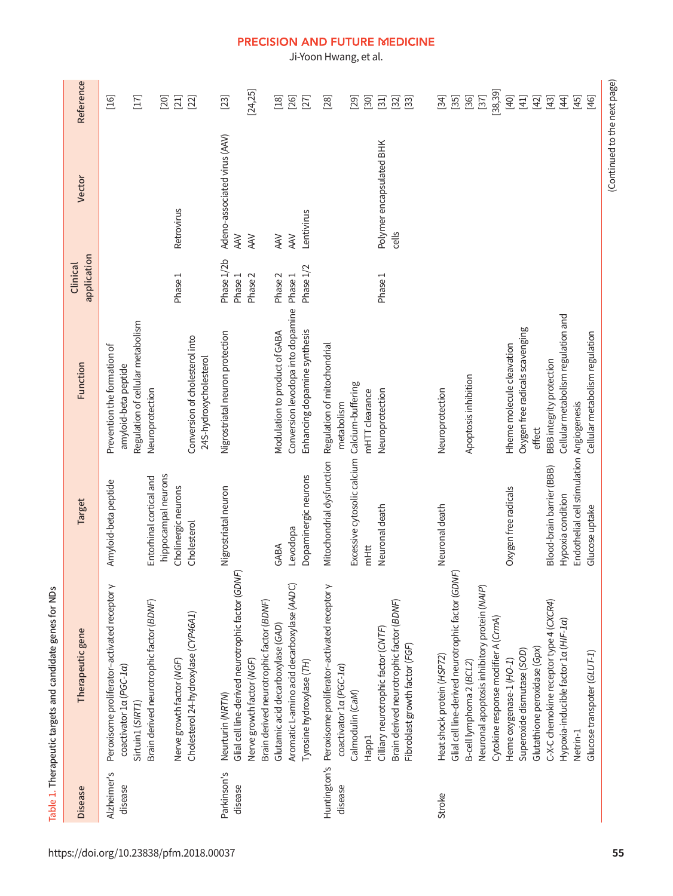Ji-Yoon Hwang, et al.

|                         | Table 1. Therapeutic targets and candidate genes for NDs                                                                                                                                                                  |                                                                                                               |                                                                                                             |                                             |                                                          |                                                        |
|-------------------------|---------------------------------------------------------------------------------------------------------------------------------------------------------------------------------------------------------------------------|---------------------------------------------------------------------------------------------------------------|-------------------------------------------------------------------------------------------------------------|---------------------------------------------|----------------------------------------------------------|--------------------------------------------------------|
| <b>Disease</b>          | Therapeutic gene                                                                                                                                                                                                          | Target                                                                                                        | Function                                                                                                    | application<br>Clinical                     | Vector                                                   | Reference                                              |
| Alzheimer's<br>disease  | Peroxisome proliferator-activated receptor y<br>Brain derived neurotrophic factor (BDNF)<br>coactivator 1a (PGC-1a)<br>Sirtuin1 (SIRT1)                                                                                   | hippocampal neurons<br>Entorhinal cortical and<br>Amyloid-beta peptide                                        | Regulation of cellular metabolism<br>Prevention the formation of<br>amyloid-beta peptide<br>Neuroprotection |                                             |                                                          | $[16]$<br>$[17]$<br>$[20]$                             |
|                         | Cholesterol 24-hydroxylase (CYP46A1)<br>Nerve growth factor (NGF)                                                                                                                                                         | Cholinergic neurons<br>Cholesterol                                                                            | Conversion of cholesterol into<br>24S-hydroxycholesterol                                                    | Phase 1                                     | Retrovirus                                               | $[21]$<br>$[22]$                                       |
| Parkinson's<br>disease  | Glial cell line-derived neurotrophic factor (GDNF)<br>Nerve growth factor (NGF)<br>Neurturin (NRTN)                                                                                                                       | Nigrostriatal neuron                                                                                          | Nigrostriatal neuron protection                                                                             | Phase 1/2b<br>Phase 1<br>Phase <sub>2</sub> | Adeno-associated virus (AAV)<br><b>AAV</b><br><b>AAV</b> | [24, 25]<br>$[23]$                                     |
|                         | Aromatic L-amino acid decarboxylase (AADC)<br>Brain derived neurotrophic factor (BDNF)<br>Glutamic acid decarboxylase (GAD)<br>Tyrosine hydroxylase (TH)                                                                  | Dopaminergic neurons<br>Levodopa<br>GABA                                                                      | Conversion levodopa into dopamine<br>Enhancing dopamine synthesis<br>Modulation to product of GABA          | Phase 1/2<br>Phase <sub>2</sub><br>Phase 1  | Lentivirus<br><b>AAV</b><br><b>AAV</b>                   | $[18]$<br>$[26]$<br>$[27]$                             |
| Huntington's<br>disease | Peroxisome proliferator-activated receptor y<br>Brain derived neurotrophic factor (BDNF)<br>Cilliary neurotrophic factor (CNTF)<br>Fibroblast growth factor (FGF)<br>coactivator 1a (PGC-1a)<br>Calmodulin (CaM)<br>Happ1 | Excessive cytosolic calcium<br>Mitochondrial dysfunction<br>Neuronal death<br>mHtt                            | Regulation of mitochondrial<br>Calcium-buffering<br>Neuroprotection<br>mHTT clearance<br>metabolism         | Phase <sub>1</sub>                          | Polymer encapsulated BHK<br>cells                        | $[28]$<br>$[30]$<br>$[31]$<br>[29]<br>$[32]$<br>$[33]$ |
| Stroke                  | Glial cell line-derived neurotrophic factor (GDNF)<br>Neuronal apoptosis inhibitory protein (NAIP)<br>Heat shock protein (HSP72)<br>B-cell lymphoma 2 (BCL2)                                                              | Neuronal death                                                                                                | Apoptosis inhibition<br>Neuroprotection                                                                     |                                             |                                                          | $[34]$<br>$[35]$<br>$[36]$<br>$[37]$                   |
|                         | Cytokine response modifier A (CrmA)<br>Glutathione peroxidase (Gpx)<br>Superoxide dismutase (SOD)<br>Heme oxygenase-1 (HO-1)                                                                                              | Oxygen free radicals                                                                                          | Oxygen free radicals scavenging<br>Hheme molecule cleavation<br>effect                                      |                                             |                                                          | [38, 39]<br>$[40]$<br>$[41]$<br>$[42]$                 |
|                         | C-X-C chemokine receptor type 4 (CXCR4)<br>Hypoxia-inducible factor 1a (HIF-1a)<br>Glucose transpoter (GLUT-1)<br>Netrin-1                                                                                                | Endothelial cell stimulation Angiogenesis<br>Blood-brain barrier (BBB)<br>Hypoxia condition<br>Glucose uptake | Cellular metabolism regulation and<br>Cellular metabolism regulation<br>BBB integrity protection            |                                             |                                                          | $[44]$<br>$[43]$<br>$[45]$<br>$[46]$                   |
|                         |                                                                                                                                                                                                                           |                                                                                                               |                                                                                                             |                                             | (Continued to the next page)                             |                                                        |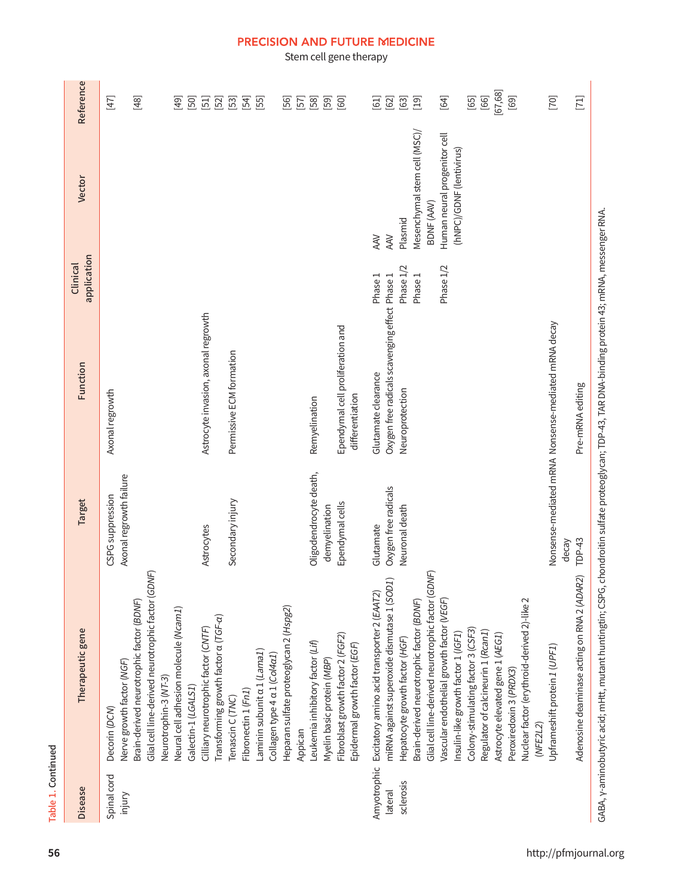# Table 1. Continued

| Spinal cord |                                                                                                |                                             |                                                     |           |                              |                                                |
|-------------|------------------------------------------------------------------------------------------------|---------------------------------------------|-----------------------------------------------------|-----------|------------------------------|------------------------------------------------|
|             | Nerve growth factor (NGF)<br>Decorin (DCN)                                                     | Axonal regrowth failure<br>CSPG suppression | Axonal regrowth                                     |           |                              | $[47]$                                         |
|             | Glial cell line-derived neurotrophic factor (GDNF)<br>Brain-derived neurotrophic factor (BDNF) |                                             |                                                     |           |                              | $[48]$                                         |
|             | Neural cell adhesion molecule (Ncam1)<br>Neurotrophin-3 (NT-3)                                 |                                             |                                                     |           |                              | $[49]$                                         |
|             | Galectin-1 (LGALS1)                                                                            |                                             |                                                     |           |                              | [50]                                           |
|             | Cilliary neurotrophic factor (CNTF)                                                            | Astrocytes                                  | Astrocyte invasion, axonal regrowth                 |           |                              | $\Xi$                                          |
|             | Transforming growth factor a (TGF-a)<br>Tenascin C (TNC)                                       | Secondary injury                            | Permissive ECM formation                            |           |                              | $[52]$<br>$\begin{bmatrix} 53 \end{bmatrix}$   |
|             | Fibronectin 1 (Fn1)                                                                            |                                             |                                                     |           |                              | [2]                                            |
|             | Laminin subunit a 1 (Lama1)                                                                    |                                             |                                                     |           |                              | [55]                                           |
|             | Collagen type 4 a 1 (Col4a1)                                                                   |                                             |                                                     |           |                              |                                                |
|             | Heparan sulfate proteoglycan 2 (Hspg2)                                                         |                                             |                                                     |           |                              | 56]                                            |
|             | Appican                                                                                        |                                             |                                                     |           |                              | [57]                                           |
|             | Leukemia inhibitory factor (Lif)                                                               | Oligodendrocyte death,                      | Remyelination                                       |           |                              | $[58]$                                         |
|             | Myelin basic protein (MBP                                                                      | demyelination                               |                                                     |           |                              | [59]                                           |
|             | Fibroblast growth factor 2 (FGF2)                                                              | Ependymal cells                             | Ependymal cell proliferation and                    |           |                              | $[60]$                                         |
|             | Epidermal growth factor (EGF)                                                                  |                                             | differentiation                                     |           |                              |                                                |
| Amyotrophic | Excitatory amino acid transporter 2 (EAAT2)                                                    | Glutamate                                   | Glutamate clearance                                 | Phase 1   | <b>AAV</b>                   | $\begin{bmatrix} 5 & 1 \\ 1 & 1 \end{bmatrix}$ |
|             | miRNA against superoxide dismutase 1 (SOD1)                                                    | Oxygen free radicals                        | Oxygen free radicals scavenging effect              | Phase 1   | <b>AAV</b>                   | $[62]$                                         |
|             | Hepatocyte growth factor (HGF)                                                                 | Neuronal death                              | Neuroprotection                                     | Phase 1/2 | Plasmid                      | $[63]$                                         |
|             | Brain-derived neurotrophic factor (BDNF)                                                       |                                             |                                                     | Phase 1   | Mesenchymal stem cell (MSC)/ | $\boxed{9}$                                    |
|             | Glial cell line-derived neurotrophic factor (GDNF)                                             |                                             |                                                     |           | BDNF (AAV)                   |                                                |
|             | Vascular endothelial growth factor (VEGF)                                                      |                                             |                                                     | Phase 1/2 | Human neural progenitor cell | $[64]$                                         |
|             | Insulin-like growth factor 1 (IGF1)                                                            |                                             |                                                     |           | (hNPC)/GDNF (lentivirus)     |                                                |
|             | Colony-stimulating factor 3 (CSF3)                                                             |                                             |                                                     |           |                              | $[65]$                                         |
|             | Regulator of calcineurin 1 (Rcan1)                                                             |                                             |                                                     |           |                              | $[66]$                                         |
|             | Astrocyte elevated gene 1 (AEG1)                                                               |                                             |                                                     |           |                              | [67, 68]                                       |
|             | Peroxiredoxin 3 (PRDX3)                                                                        |                                             |                                                     |           |                              | $[69]$                                         |
|             | Nuclear factor (erythroid-derived 2)-like 2                                                    |                                             |                                                     |           |                              |                                                |
|             | (NFE2L2)                                                                                       |                                             |                                                     |           |                              |                                                |
|             | Upframeshift protein 1 (UPF1)                                                                  |                                             | Nonsense-mediated mRNA Nonsense-mediated mRNA decay |           |                              | [70]                                           |
|             |                                                                                                | decay                                       |                                                     |           |                              |                                                |
|             | Adenosine deaminase acting on RNA 2 (ADAR2)                                                    | TDP-43                                      | Pre-mRNA editing                                    |           |                              | $[1]$                                          |

# GABA, y-aminobutyric acid; mHtt, mutant huntingtin; CSPG, chondroitin sulfate proteoglycan; TDP-43, TAR DNA-binding protein 43; mRNA, messenger RNA. GABA, γ-aminobutyric acid; mHtt, mutant huntingtin; CSPG, chondroitin sulfate proteoglycan; TDP-43, TAR DNA-binding protein 43; mRNA, messenger RNA.

# PRECISION AND FUTURE MEDICINE

Stem cell gene therapy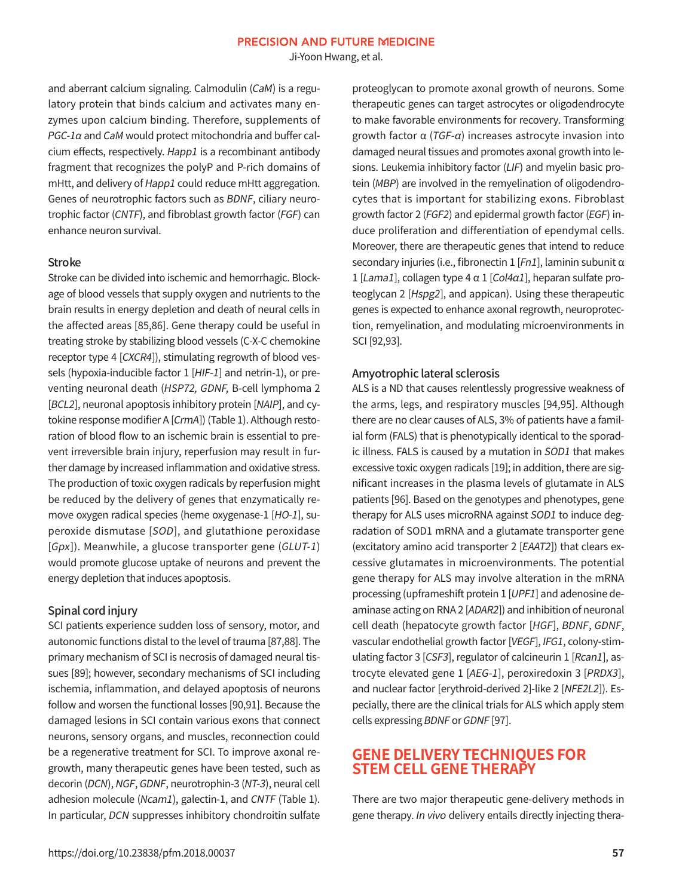Ji-Yoon Hwang, et al.

and aberrant calcium signaling. Calmodulin (CaM) is a regulatory protein that binds calcium and activates many enzymes upon calcium binding. Therefore, supplements of  $PGC$ -1 $\alpha$  and CaM would protect mitochondria and buffer calcium effects, respectively. Happ1 is a recombinant antibody fragment that recognizes the polyP and P-rich domains of mHtt, and delivery of Happ1 could reduce mHtt aggregation. Genes of neurotrophic factors such as BDNF, ciliary neurotrophic factor (CNTF), and fibroblast growth factor (FGF) can enhance neuron survival.

#### Stroke

Stroke can be divided into ischemic and hemorrhagic. Blockage of blood vessels that supply oxygen and nutrients to the brain results in energy depletion and death of neural cells in the affected areas [85,86]. Gene therapy could be useful in treating stroke by stabilizing blood vessels (C-X-C chemokine receptor type 4 [CXCR4]), stimulating regrowth of blood vessels (hypoxia-inducible factor 1 [HIF-1] and netrin-1), or preventing neuronal death (HSP72, GDNF, B-cell lymphoma 2 [BCL2], neuronal apoptosis inhibitory protein [NAIP], and cytokine response modifier A [CrmA]) (Table 1). Although restoration of blood flow to an ischemic brain is essential to prevent irreversible brain injury, reperfusion may result in further damage by increased inflammation and oxidative stress. The production of toxic oxygen radicals by reperfusion might be reduced by the delivery of genes that enzymatically remove oxygen radical species (heme oxygenase-1 [HO-1], superoxide dismutase [SOD], and glutathione peroxidase [Gpx]). Meanwhile, a glucose transporter gene (GLUT-1) would promote glucose uptake of neurons and prevent the energy depletion that induces apoptosis.

#### Spinal cord injury

SCI patients experience sudden loss of sensory, motor, and autonomic functions distal to the level of trauma [87,88]. The primary mechanism of SCI is necrosis of damaged neural tissues [89]; however, secondary mechanisms of SCI including ischemia, inflammation, and delayed apoptosis of neurons follow and worsen the functional losses [90,91]. Because the damaged lesions in SCI contain various exons that connect neurons, sensory organs, and muscles, reconnection could be a regenerative treatment for SCI. To improve axonal regrowth, many therapeutic genes have been tested, such as decorin (DCN), NGF, GDNF, neurotrophin-3 (NT-3), neural cell adhesion molecule (Ncam1), galectin-1, and CNTF (Table 1). In particular, DCN suppresses inhibitory chondroitin sulfate proteoglycan to promote axonal growth of neurons. Some therapeutic genes can target astrocytes or oligodendrocyte to make favorable environments for recovery. Transforming growth factor α (TGF-α) increases astrocyte invasion into damaged neural tissues and promotes axonal growth into lesions. Leukemia inhibitory factor (LIF) and myelin basic protein (MBP) are involved in the remyelination of oligodendrocytes that is important for stabilizing exons. Fibroblast growth factor 2 (FGF2) and epidermal growth factor (EGF) induce proliferation and differentiation of ependymal cells. Moreover, there are therapeutic genes that intend to reduce secondary injuries (i.e., fibronectin 1 [Fn1], laminin subunit α 1 [Lama1], collagen type 4  $\alpha$  1 [Col4 $\alpha$ 1], heparan sulfate proteoglycan 2 [Hspg2], and appican). Using these therapeutic genes is expected to enhance axonal regrowth, neuroprotection, remyelination, and modulating microenvironments in SCI [92,93].

#### Amyotrophic lateral sclerosis

ALS is a ND that causes relentlessly progressive weakness of the arms, legs, and respiratory muscles [94,95]. Although there are no clear causes of ALS, 3% of patients have a familial form (FALS) that is phenotypically identical to the sporadic illness. FALS is caused by a mutation in SOD1 that makes excessive toxic oxygen radicals [19]; in addition, there are significant increases in the plasma levels of glutamate in ALS patients [96]. Based on the genotypes and phenotypes, gene therapy for ALS uses microRNA against SOD1 to induce degradation of SOD1 mRNA and a glutamate transporter gene (excitatory amino acid transporter 2 [EAAT2]) that clears excessive glutamates in microenvironments. The potential gene therapy for ALS may involve alteration in the mRNA processing (upframeshift protein 1 [UPF1] and adenosine deaminase acting on RNA 2 [ADAR2]) and inhibition of neuronal cell death (hepatocyte growth factor [HGF], BDNF, GDNF, vascular endothelial growth factor [VEGF], IFG1, colony-stimulating factor 3 [CSF3], regulator of calcineurin 1 [Rcan1], astrocyte elevated gene 1 [AEG-1], peroxiredoxin 3 [PRDX3], and nuclear factor [erythroid-derived 2]-like 2 [NFE2L2]). Especially, there are the clinical trials for ALS which apply stem cells expressing BDNF or GDNF [97].

### **GENE DELIVERY TECHNIQUES FOR STEM CELL GENE THERAPY**

There are two major therapeutic gene-delivery methods in gene therapy. In vivo delivery entails directly injecting thera-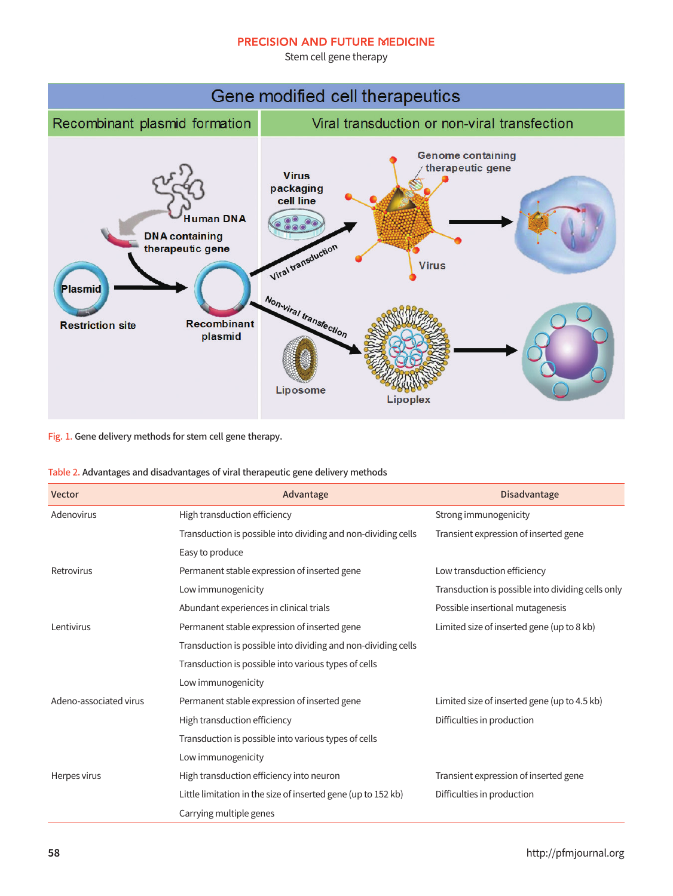Stem cell gene therapy



Fig. 1. Gene delivery methods for stem cell gene therapy.

| Table 2. Advantages and disadvantages of viral therapeutic gene delivery methods |  |  |  |
|----------------------------------------------------------------------------------|--|--|--|
|----------------------------------------------------------------------------------|--|--|--|

| Vector                 | Advantage                                                     | <b>Disadvantage</b>                               |
|------------------------|---------------------------------------------------------------|---------------------------------------------------|
| Adenovirus             | High transduction efficiency                                  | Strong immunogenicity                             |
|                        | Transduction is possible into dividing and non-dividing cells | Transient expression of inserted gene             |
|                        | Easy to produce                                               |                                                   |
| Retrovirus             | Permanent stable expression of inserted gene                  | Low transduction efficiency                       |
|                        | Low immunogenicity                                            | Transduction is possible into dividing cells only |
|                        | Abundant experiences in clinical trials                       | Possible insertional mutagenesis                  |
| Lentivirus             | Permanent stable expression of inserted gene                  | Limited size of inserted gene (up to 8 kb)        |
|                        | Transduction is possible into dividing and non-dividing cells |                                                   |
|                        | Transduction is possible into various types of cells          |                                                   |
|                        | Low immunogenicity                                            |                                                   |
| Adeno-associated virus | Permanent stable expression of inserted gene                  | Limited size of inserted gene (up to 4.5 kb)      |
|                        | High transduction efficiency                                  | Difficulties in production                        |
|                        | Transduction is possible into various types of cells          |                                                   |
|                        | Low immunogenicity                                            |                                                   |
| Herpes virus           | High transduction efficiency into neuron                      | Transient expression of inserted gene             |
|                        | Little limitation in the size of inserted gene (up to 152 kb) | Difficulties in production                        |
|                        | Carrying multiple genes                                       |                                                   |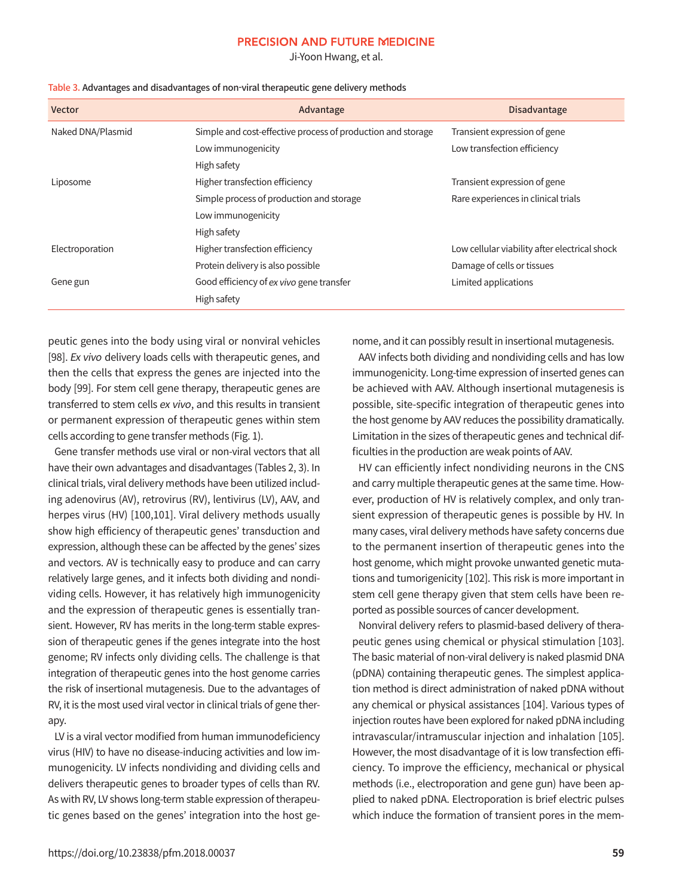Ji-Yoon Hwang, et al.

| <b>Vector</b>     | Advantage                                                   | <b>Disadvantage</b>                           |
|-------------------|-------------------------------------------------------------|-----------------------------------------------|
| Naked DNA/Plasmid | Simple and cost-effective process of production and storage | Transient expression of gene                  |
|                   | Low immunogenicity                                          | Low transfection efficiency                   |
|                   | High safety                                                 |                                               |
| Liposome          | Higher transfection efficiency                              | Transient expression of gene                  |
|                   | Simple process of production and storage                    | Rare experiences in clinical trials           |
|                   | Low immunogenicity                                          |                                               |
|                   | High safety                                                 |                                               |
| Electroporation   | Higher transfection efficiency                              | Low cellular viability after electrical shock |
|                   | Protein delivery is also possible                           | Damage of cells or tissues                    |
| Gene gun          | Good efficiency of ex vivo gene transfer                    | Limited applications                          |
|                   | High safety                                                 |                                               |

| Table 3. Advantages and disadvantages of non-viral therapeutic gene delivery methods |  |  |
|--------------------------------------------------------------------------------------|--|--|
|--------------------------------------------------------------------------------------|--|--|

peutic genes into the body using viral or nonviral vehicles [98]. Ex vivo delivery loads cells with therapeutic genes, and then the cells that express the genes are injected into the body [99]. For stem cell gene therapy, therapeutic genes are transferred to stem cells ex vivo, and this results in transient or permanent expression of therapeutic genes within stem cells according to gene transfer methods (Fig. 1).

Gene transfer methods use viral or non-viral vectors that all have their own advantages and disadvantages (Tables 2, 3). In clinical trials, viral delivery methods have been utilized including adenovirus (AV), retrovirus (RV), lentivirus (LV), AAV, and herpes virus (HV) [100,101]. Viral delivery methods usually show high efficiency of therapeutic genes' transduction and expression, although these can be affected by the genes' sizes and vectors. AV is technically easy to produce and can carry relatively large genes, and it infects both dividing and nondividing cells. However, it has relatively high immunogenicity and the expression of therapeutic genes is essentially transient. However, RV has merits in the long-term stable expression of therapeutic genes if the genes integrate into the host genome; RV infects only dividing cells. The challenge is that integration of therapeutic genes into the host genome carries the risk of insertional mutagenesis. Due to the advantages of RV, it is the most used viral vector in clinical trials of gene therapy.

LV is a viral vector modified from human immunodeficiency virus (HIV) to have no disease-inducing activities and low immunogenicity. LV infects nondividing and dividing cells and delivers therapeutic genes to broader types of cells than RV. As with RV, LV shows long-term stable expression of therapeutic genes based on the genes' integration into the host genome, and it can possibly result in insertional mutagenesis.

AAV infects both dividing and nondividing cells and has low immunogenicity. Long-time expression of inserted genes can be achieved with AAV. Although insertional mutagenesis is possible, site-specific integration of therapeutic genes into the host genome by AAV reduces the possibility dramatically. Limitation in the sizes of therapeutic genes and technical difficulties in the production are weak points of AAV.

HV can efficiently infect nondividing neurons in the CNS and carry multiple therapeutic genes at the same time. However, production of HV is relatively complex, and only transient expression of therapeutic genes is possible by HV. In many cases, viral delivery methods have safety concerns due to the permanent insertion of therapeutic genes into the host genome, which might provoke unwanted genetic mutations and tumorigenicity [102]. This risk is more important in stem cell gene therapy given that stem cells have been reported as possible sources of cancer development.

Nonviral delivery refers to plasmid-based delivery of therapeutic genes using chemical or physical stimulation [103]. The basic material of non-viral delivery is naked plasmid DNA (pDNA) containing therapeutic genes. The simplest application method is direct administration of naked pDNA without any chemical or physical assistances [104]. Various types of injection routes have been explored for naked pDNA including intravascular/intramuscular injection and inhalation [105]. However, the most disadvantage of it is low transfection efficiency. To improve the efficiency, mechanical or physical methods (i.e., electroporation and gene gun) have been applied to naked pDNA. Electroporation is brief electric pulses which induce the formation of transient pores in the mem-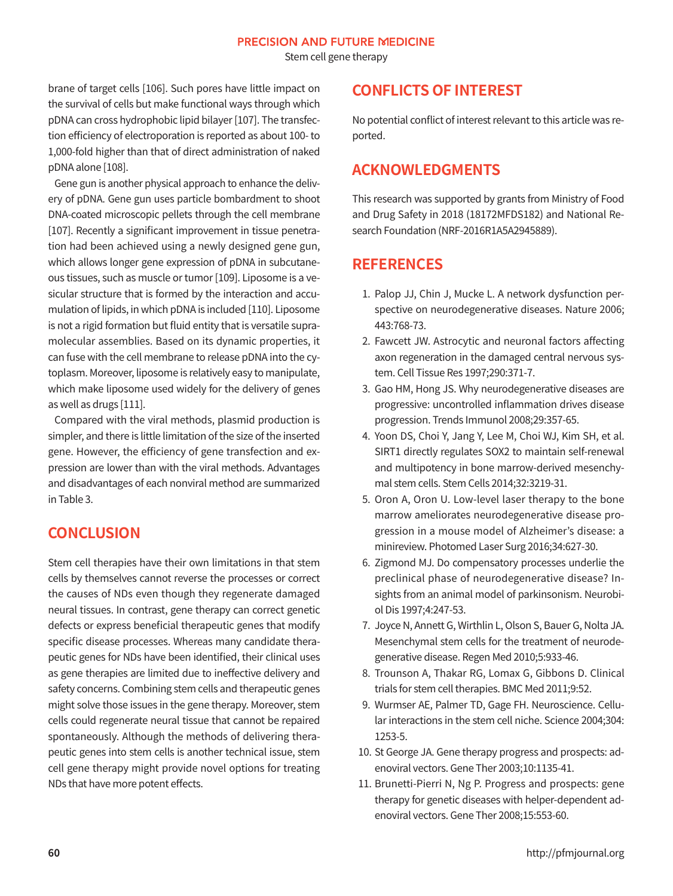Stem cell gene therapy

brane of target cells [106]. Such pores have little impact on the survival of cells but make functional ways through which pDNA can cross hydrophobic lipid bilayer [107]. The transfection efficiency of electroporation is reported as about 100- to 1,000-fold higher than that of direct administration of naked pDNA alone [108].

Gene gun is another physical approach to enhance the delivery of pDNA. Gene gun uses particle bombardment to shoot DNA-coated microscopic pellets through the cell membrane [107]. Recently a significant improvement in tissue penetration had been achieved using a newly designed gene gun, which allows longer gene expression of pDNA in subcutaneous tissues, such as muscle or tumor [109]. Liposome is a vesicular structure that is formed by the interaction and accumulation of lipids, in which pDNA is included [110]. Liposome is not a rigid formation but fluid entity that is versatile supramolecular assemblies. Based on its dynamic properties, it can fuse with the cell membrane to release pDNA into the cytoplasm. Moreover, liposome is relatively easy to manipulate, which make liposome used widely for the delivery of genes as well as drugs [111].

Compared with the viral methods, plasmid production is simpler, and there is little limitation of the size of the inserted gene. However, the efficiency of gene transfection and expression are lower than with the viral methods. Advantages and disadvantages of each nonviral method are summarized in Table 3.

## **CONCLUSION**

Stem cell therapies have their own limitations in that stem cells by themselves cannot reverse the processes or correct the causes of NDs even though they regenerate damaged neural tissues. In contrast, gene therapy can correct genetic defects or express beneficial therapeutic genes that modify specific disease processes. Whereas many candidate therapeutic genes for NDs have been identified, their clinical uses as gene therapies are limited due to ineffective delivery and safety concerns. Combining stem cells and therapeutic genes might solve those issues in the gene therapy. Moreover, stem cells could regenerate neural tissue that cannot be repaired spontaneously. Although the methods of delivering therapeutic genes into stem cells is another technical issue, stem cell gene therapy might provide novel options for treating NDs that have more potent effects.

# **CONFLICTS OF INTEREST**

No potential conflict of interest relevant to this article was reported.

# **ACKNOWLEDGMENTS**

This research was supported by grants from Ministry of Food and Drug Safety in 2018 (18172MFDS182) and National Research Foundation (NRF-2016R1A5A2945889).

# **REFERENCES**

- 1. Palop JJ, Chin J, Mucke L. A network dysfunction perspective on neurodegenerative diseases. Nature 2006; 443:768-73.
- 2. Fawcett JW. Astrocytic and neuronal factors affecting axon regeneration in the damaged central nervous system. Cell Tissue Res 1997;290:371-7.
- 3. Gao HM, Hong JS. Why neurodegenerative diseases are progressive: uncontrolled inflammation drives disease progression. Trends Immunol 2008;29:357-65.
- 4. Yoon DS, Choi Y, Jang Y, Lee M, Choi WJ, Kim SH, et al. SIRT1 directly regulates SOX2 to maintain self-renewal and multipotency in bone marrow-derived mesenchymal stem cells. Stem Cells 2014;32:3219-31.
- 5. Oron A, Oron U. Low-level laser therapy to the bone marrow ameliorates neurodegenerative disease progression in a mouse model of Alzheimer's disease: a minireview. Photomed Laser Surg 2016;34:627-30.
- 6. Zigmond MJ. Do compensatory processes underlie the preclinical phase of neurodegenerative disease? Insights from an animal model of parkinsonism. Neurobiol Dis 1997;4:247-53.
- 7. Joyce N, Annett G, Wirthlin L, Olson S, Bauer G, Nolta JA. Mesenchymal stem cells for the treatment of neurodegenerative disease. Regen Med 2010;5:933-46.
- 8. Trounson A, Thakar RG, Lomax G, Gibbons D. Clinical trials for stem cell therapies. BMC Med 2011;9:52.
- 9. Wurmser AE, Palmer TD, Gage FH. Neuroscience. Cellular interactions in the stem cell niche. Science 2004;304: 1253-5.
- 10. St George JA. Gene therapy progress and prospects: adenoviral vectors. Gene Ther 2003;10:1135-41.
- 11. Brunetti-Pierri N, Ng P. Progress and prospects: gene therapy for genetic diseases with helper-dependent adenoviral vectors. Gene Ther 2008;15:553-60.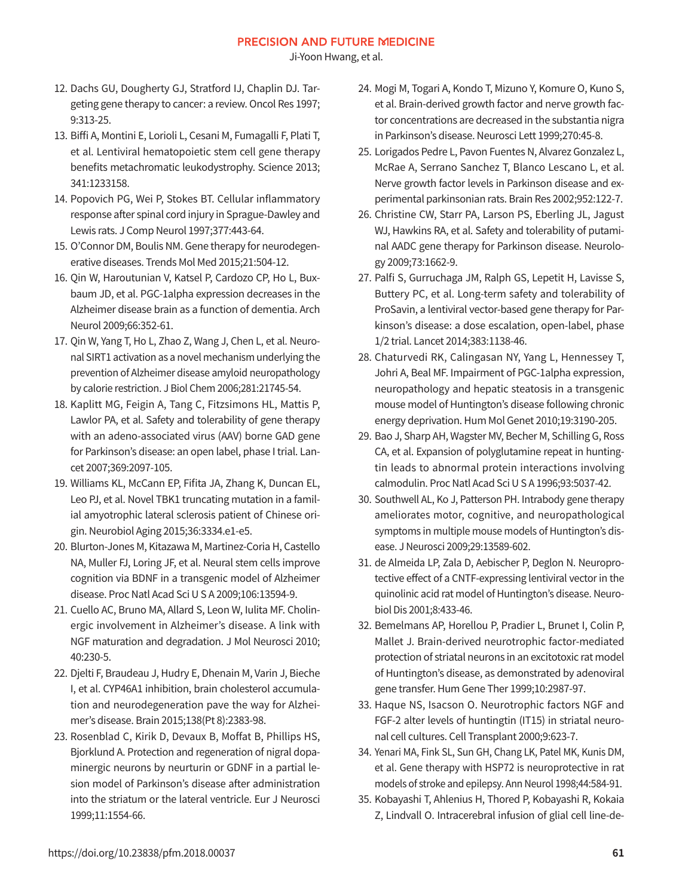Ji-Yoon Hwang, et al.

- 12. Dachs GU, Dougherty GJ, Stratford IJ, Chaplin DJ. Targeting gene therapy to cancer: a review. Oncol Res 1997; 9:313-25.
- 13. Biffi A, Montini E, Lorioli L, Cesani M, Fumagalli F, Plati T, et al. Lentiviral hematopoietic stem cell gene therapy benefits metachromatic leukodystrophy. Science 2013; 341:1233158.
- 14. Popovich PG, Wei P, Stokes BT. Cellular inflammatory response after spinal cord injury in Sprague-Dawley and Lewis rats. J Comp Neurol 1997;377:443-64.
- 15. O'Connor DM, Boulis NM. Gene therapy for neurodegenerative diseases. Trends Mol Med 2015;21:504-12.
- 16. Qin W, Haroutunian V, Katsel P, Cardozo CP, Ho L, Buxbaum JD, et al. PGC-1alpha expression decreases in the Alzheimer disease brain as a function of dementia. Arch Neurol 2009;66:352-61.
- 17. Qin W, Yang T, Ho L, Zhao Z, Wang J, Chen L, et al. Neuronal SIRT1 activation as a novel mechanism underlying the prevention of Alzheimer disease amyloid neuropathology by calorie restriction. J Biol Chem 2006;281:21745-54.
- 18. Kaplitt MG, Feigin A, Tang C, Fitzsimons HL, Mattis P, Lawlor PA, et al. Safety and tolerability of gene therapy with an adeno-associated virus (AAV) borne GAD gene for Parkinson's disease: an open label, phase I trial. Lancet 2007;369:2097-105.
- 19. Williams KL, McCann EP, Fifita JA, Zhang K, Duncan EL, Leo PJ, et al. Novel TBK1 truncating mutation in a familial amyotrophic lateral sclerosis patient of Chinese origin. Neurobiol Aging 2015;36:3334.e1-e5.
- 20. Blurton-Jones M, Kitazawa M, Martinez-Coria H, Castello NA, Muller FJ, Loring JF, et al. Neural stem cells improve cognition via BDNF in a transgenic model of Alzheimer disease. Proc Natl Acad Sci U S A 2009;106:13594-9.
- 21. Cuello AC, Bruno MA, Allard S, Leon W, Iulita MF. Cholinergic involvement in Alzheimer's disease. A link with NGF maturation and degradation. J Mol Neurosci 2010; 40:230-5.
- 22. Djelti F, Braudeau J, Hudry E, Dhenain M, Varin J, Bieche I, et al. CYP46A1 inhibition, brain cholesterol accumulation and neurodegeneration pave the way for Alzheimer's disease. Brain 2015;138(Pt 8):2383-98.
- 23. Rosenblad C, Kirik D, Devaux B, Moffat B, Phillips HS, Bjorklund A. Protection and regeneration of nigral dopaminergic neurons by neurturin or GDNF in a partial lesion model of Parkinson's disease after administration into the striatum or the lateral ventricle. Eur J Neurosci 1999;11:1554-66.
- 24. Mogi M, Togari A, Kondo T, Mizuno Y, Komure O, Kuno S, et al. Brain-derived growth factor and nerve growth factor concentrations are decreased in the substantia nigra in Parkinson's disease. Neurosci Lett 1999;270:45-8.
- 25. Lorigados Pedre L, Pavon Fuentes N, Alvarez Gonzalez L, McRae A, Serrano Sanchez T, Blanco Lescano L, et al. Nerve growth factor levels in Parkinson disease and experimental parkinsonian rats. Brain Res 2002;952:122-7.
- 26. Christine CW, Starr PA, Larson PS, Eberling JL, Jagust WJ, Hawkins RA, et al. Safety and tolerability of putaminal AADC gene therapy for Parkinson disease. Neurology 2009;73:1662-9.
- 27. Palfi S, Gurruchaga JM, Ralph GS, Lepetit H, Lavisse S, Buttery PC, et al. Long-term safety and tolerability of ProSavin, a lentiviral vector-based gene therapy for Parkinson's disease: a dose escalation, open-label, phase 1/2 trial. Lancet 2014;383:1138-46.
- 28. Chaturvedi RK, Calingasan NY, Yang L, Hennessey T, Johri A, Beal MF. Impairment of PGC-1alpha expression, neuropathology and hepatic steatosis in a transgenic mouse model of Huntington's disease following chronic energy deprivation. Hum Mol Genet 2010;19:3190-205.
- 29. Bao J, Sharp AH, Wagster MV, Becher M, Schilling G, Ross CA, et al. Expansion of polyglutamine repeat in huntingtin leads to abnormal protein interactions involving calmodulin. Proc Natl Acad Sci U S A 1996;93:5037-42.
- 30. Southwell AL, Ko J, Patterson PH. Intrabody gene therapy ameliorates motor, cognitive, and neuropathological symptoms in multiple mouse models of Huntington's disease. J Neurosci 2009;29:13589-602.
- 31. de Almeida LP, Zala D, Aebischer P, Deglon N. Neuroprotective effect of a CNTF-expressing lentiviral vector in the quinolinic acid rat model of Huntington's disease. Neurobiol Dis 2001;8:433-46.
- 32. Bemelmans AP, Horellou P, Pradier L, Brunet I, Colin P, Mallet J. Brain-derived neurotrophic factor-mediated protection of striatal neurons in an excitotoxic rat model of Huntington's disease, as demonstrated by adenoviral gene transfer. Hum Gene Ther 1999;10:2987-97.
- 33. Haque NS, Isacson O. Neurotrophic factors NGF and FGF-2 alter levels of huntingtin (IT15) in striatal neuronal cell cultures. Cell Transplant 2000;9:623-7.
- 34. Yenari MA, Fink SL, Sun GH, Chang LK, Patel MK, Kunis DM, et al. Gene therapy with HSP72 is neuroprotective in rat models of stroke and epilepsy. Ann Neurol 1998;44:584-91.
- 35. Kobayashi T, Ahlenius H, Thored P, Kobayashi R, Kokaia Z, Lindvall O. Intracerebral infusion of glial cell line-de-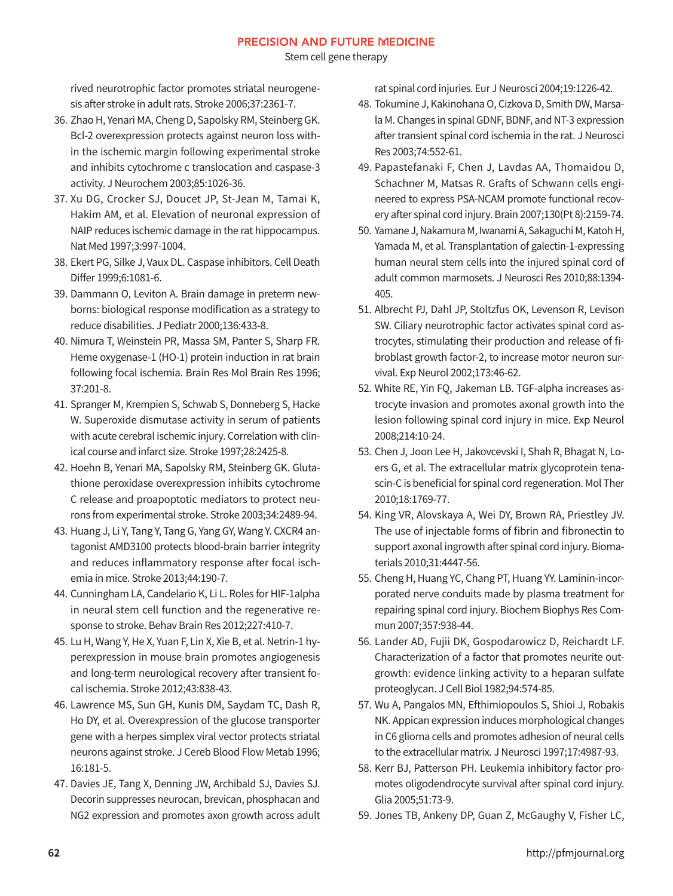Stem cell gene therapy

rived neurotrophic factor promotes striatal neurogenesis after stroke in adult rats. Stroke 2006;37:2361-7.

- 36. Zhao H, Yenari MA, Cheng D, Sapolsky RM, Steinberg GK. Bcl-2 overexpression protects against neuron loss within the ischemic margin following experimental stroke and inhibits cytochrome c translocation and caspase-3 activity. J Neurochem 2003;85:1026-36.
- 37. Xu DG, Crocker SJ, Doucet JP, St-Jean M, Tamai K, Hakim AM, et al. Elevation of neuronal expression of NAIP reduces ischemic damage in the rat hippocampus. Nat Med 1997;3:997-1004.
- 38. Ekert PG, Silke J, Vaux DL. Caspase inhibitors. Cell Death Differ 1999;6:1081-6.
- 39. Dammann O, Leviton A. Brain damage in preterm newborns: biological response modification as a strategy to reduce disabilities. J Pediatr 2000;136:433-8.
- 40. Nimura T, Weinstein PR, Massa SM, Panter S, Sharp FR. Heme oxygenase-1 (HO-1) protein induction in rat brain following focal ischemia. Brain Res Mol Brain Res 1996; 37:201-8.
- 41. Spranger M, Krempien S, Schwab S, Donneberg S, Hacke W. Superoxide dismutase activity in serum of patients with acute cerebral ischemic injury. Correlation with clinical course and infarct size. Stroke 1997;28:2425-8.
- 42. Hoehn B, Yenari MA, Sapolsky RM, Steinberg GK. Glutathione peroxidase overexpression inhibits cytochrome C release and proapoptotic mediators to protect neurons from experimental stroke. Stroke 2003;34:2489-94.
- 43. Huang J, Li Y, Tang Y, Tang G, Yang GY, Wang Y. CXCR4 antagonist AMD3100 protects blood-brain barrier integrity and reduces inflammatory response after focal ischemia in mice. Stroke 2013;44:190-7.
- 44. Cunningham LA, Candelario K, Li L. Roles for HIF-1alpha in neural stem cell function and the regenerative response to stroke. Behav Brain Res 2012;227:410-7.
- 45. Lu H, Wang Y, He X, Yuan F, Lin X, Xie B, et al. Netrin-1 hyperexpression in mouse brain promotes angiogenesis and long-term neurological recovery after transient focal ischemia. Stroke 2012;43:838-43.
- 46. Lawrence MS, Sun GH, Kunis DM, Saydam TC, Dash R, Ho DY, et al. Overexpression of the glucose transporter gene with a herpes simplex viral vector protects striatal neurons against stroke. J Cereb Blood Flow Metab 1996; 16:181-5.
- 47. Davies JE, Tang X, Denning JW, Archibald SJ, Davies SJ. Decorin suppresses neurocan, brevican, phosphacan and NG2 expression and promotes axon growth across adult

rat spinal cord injuries. Eur J Neurosci 2004;19:1226-42.

- 48. Tokumine J, Kakinohana O, Cizkova D, Smith DW, Marsala M. Changes in spinal GDNF, BDNF, and NT-3 expression after transient spinal cord ischemia in the rat. J Neurosci Res 2003;74:552-61.
- 49. Papastefanaki F, Chen J, Lavdas AA, Thomaidou D, Schachner M, Matsas R. Grafts of Schwann cells engineered to express PSA-NCAM promote functional recovery after spinal cord injury. Brain 2007;130(Pt 8):2159-74.
- 50. Yamane J, Nakamura M, Iwanami A, Sakaguchi M, Katoh H, Yamada M, et al. Transplantation of galectin-1-expressing human neural stem cells into the injured spinal cord of adult common marmosets. J Neurosci Res 2010;88:1394- 405.
- 51. Albrecht PJ, Dahl JP, Stoltzfus OK, Levenson R, Levison SW. Ciliary neurotrophic factor activates spinal cord astrocytes, stimulating their production and release of fibroblast growth factor-2, to increase motor neuron survival. Exp Neurol 2002;173:46-62.
- 52. White RE, Yin FQ, Jakeman LB. TGF-alpha increases astrocyte invasion and promotes axonal growth into the lesion following spinal cord injury in mice. Exp Neurol 2008;214:10-24.
- 53. Chen J, Joon Lee H, Jakovcevski I, Shah R, Bhagat N, Loers G, et al. The extracellular matrix glycoprotein tenascin-C is beneficial for spinal cord regeneration. Mol Ther 2010;18:1769-77.
- 54. King VR, Alovskaya A, Wei DY, Brown RA, Priestley JV. The use of injectable forms of fibrin and fibronectin to support axonal ingrowth after spinal cord injury. Biomaterials 2010;31:4447-56.
- 55. Cheng H, Huang YC, Chang PT, Huang YY. Laminin-incorporated nerve conduits made by plasma treatment for repairing spinal cord injury. Biochem Biophys Res Commun 2007;357:938-44.
- 56. Lander AD, Fujii DK, Gospodarowicz D, Reichardt LF. Characterization of a factor that promotes neurite outgrowth: evidence linking activity to a heparan sulfate proteoglycan. J Cell Biol 1982;94:574-85.
- 57. Wu A, Pangalos MN, Efthimiopoulos S, Shioi J, Robakis NK. Appican expression induces morphological changes in C6 glioma cells and promotes adhesion of neural cells to the extracellular matrix. J Neurosci 1997;17:4987-93.
- 58. Kerr BJ, Patterson PH. Leukemia inhibitory factor promotes oligodendrocyte survival after spinal cord injury. Glia 2005;51:73-9.
- 59. Jones TB, Ankeny DP, Guan Z, McGaughy V, Fisher LC,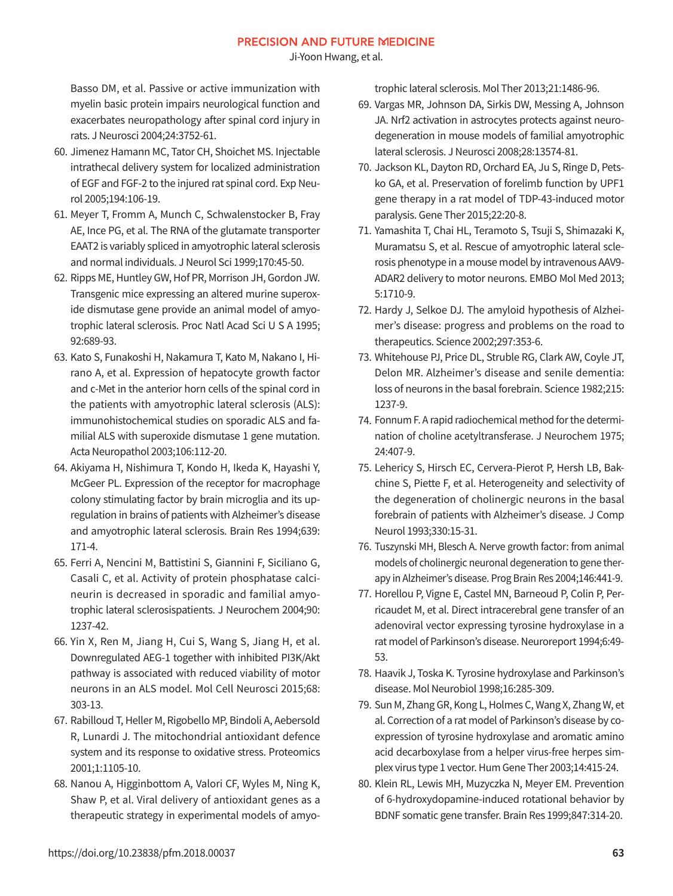Ji-Yoon Hwang, et al.

Basso DM, et al. Passive or active immunization with myelin basic protein impairs neurological function and exacerbates neuropathology after spinal cord injury in rats. J Neurosci 2004;24:3752-61.

- 60. Jimenez Hamann MC, Tator CH, Shoichet MS. Injectable intrathecal delivery system for localized administration of EGF and FGF-2 to the injured rat spinal cord. Exp Neurol 2005;194:106-19.
- 61. Meyer T, Fromm A, Munch C, Schwalenstocker B, Fray AE, Ince PG, et al. The RNA of the glutamate transporter EAAT2 is variably spliced in amyotrophic lateral sclerosis and normal individuals. J Neurol Sci 1999;170:45-50.
- 62. Ripps ME, Huntley GW, Hof PR, Morrison JH, Gordon JW. Transgenic mice expressing an altered murine superoxide dismutase gene provide an animal model of amyotrophic lateral sclerosis. Proc Natl Acad Sci U S A 1995; 92:689-93.
- 63. Kato S, Funakoshi H, Nakamura T, Kato M, Nakano I, Hirano A, et al. Expression of hepatocyte growth factor and c-Met in the anterior horn cells of the spinal cord in the patients with amyotrophic lateral sclerosis (ALS): immunohistochemical studies on sporadic ALS and familial ALS with superoxide dismutase 1 gene mutation. Acta Neuropathol 2003;106:112-20.
- 64. Akiyama H, Nishimura T, Kondo H, Ikeda K, Hayashi Y, McGeer PL. Expression of the receptor for macrophage colony stimulating factor by brain microglia and its upregulation in brains of patients with Alzheimer's disease and amyotrophic lateral sclerosis. Brain Res 1994;639: 171-4.
- 65. Ferri A, Nencini M, Battistini S, Giannini F, Siciliano G, Casali C, et al. Activity of protein phosphatase calcineurin is decreased in sporadic and familial amyotrophic lateral sclerosispatients. J Neurochem 2004;90: 1237-42.
- 66. Yin X, Ren M, Jiang H, Cui S, Wang S, Jiang H, et al. Downregulated AEG-1 together with inhibited PI3K/Akt pathway is associated with reduced viability of motor neurons in an ALS model. Mol Cell Neurosci 2015;68: 303-13.
- 67. Rabilloud T, Heller M, Rigobello MP, Bindoli A, Aebersold R, Lunardi J. The mitochondrial antioxidant defence system and its response to oxidative stress. Proteomics 2001;1:1105-10.
- 68. Nanou A, Higginbottom A, Valori CF, Wyles M, Ning K, Shaw P, et al. Viral delivery of antioxidant genes as a therapeutic strategy in experimental models of amyo-

trophic lateral sclerosis. Mol Ther 2013;21:1486-96.

- 69. Vargas MR, Johnson DA, Sirkis DW, Messing A, Johnson JA. Nrf2 activation in astrocytes protects against neurodegeneration in mouse models of familial amyotrophic lateral sclerosis. J Neurosci 2008;28:13574-81.
- 70. Jackson KL, Dayton RD, Orchard EA, Ju S, Ringe D, Petsko GA, et al. Preservation of forelimb function by UPF1 gene therapy in a rat model of TDP-43-induced motor paralysis. Gene Ther 2015;22:20-8.
- 71. Yamashita T, Chai HL, Teramoto S, Tsuji S, Shimazaki K, Muramatsu S, et al. Rescue of amyotrophic lateral sclerosis phenotype in a mouse model by intravenous AAV9- ADAR2 delivery to motor neurons. EMBO Mol Med 2013; 5:1710-9.
- 72. Hardy J, Selkoe DJ. The amyloid hypothesis of Alzheimer's disease: progress and problems on the road to therapeutics. Science 2002;297:353-6.
- 73. Whitehouse PJ, Price DL, Struble RG, Clark AW, Coyle JT, Delon MR. Alzheimer's disease and senile dementia: loss of neurons in the basal forebrain. Science 1982;215: 1237-9.
- 74. Fonnum F. A rapid radiochemical method for the determination of choline acetyltransferase. J Neurochem 1975; 24:407-9.
- 75. Lehericy S, Hirsch EC, Cervera-Pierot P, Hersh LB, Bakchine S, Piette F, et al. Heterogeneity and selectivity of the degeneration of cholinergic neurons in the basal forebrain of patients with Alzheimer's disease. J Comp Neurol 1993;330:15-31.
- 76. Tuszynski MH, Blesch A. Nerve growth factor: from animal models of cholinergic neuronal degeneration to gene therapy in Alzheimer's disease. Prog Brain Res 2004;146:441-9.
- 77. Horellou P, Vigne E, Castel MN, Barneoud P, Colin P, Perricaudet M, et al. Direct intracerebral gene transfer of an adenoviral vector expressing tyrosine hydroxylase in a rat model of Parkinson's disease. Neuroreport 1994;6:49- 53.
- 78. Haavik J, Toska K. Tyrosine hydroxylase and Parkinson's disease. Mol Neurobiol 1998;16:285-309.
- 79. Sun M, Zhang GR, Kong L, Holmes C, Wang X, Zhang W, et al. Correction of a rat model of Parkinson's disease by coexpression of tyrosine hydroxylase and aromatic amino acid decarboxylase from a helper virus-free herpes simplex virus type 1 vector. Hum Gene Ther 2003;14:415-24.
- 80. Klein RL, Lewis MH, Muzyczka N, Meyer EM. Prevention of 6-hydroxydopamine-induced rotational behavior by BDNF somatic gene transfer. Brain Res 1999;847:314-20.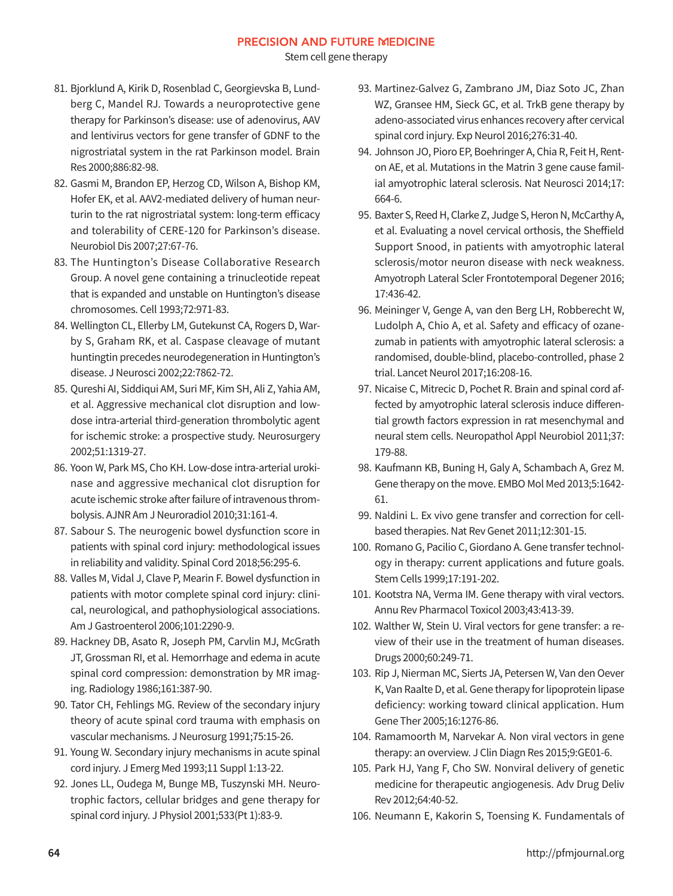Stem cell gene therapy

- 81. Bjorklund A, Kirik D, Rosenblad C, Georgievska B, Lundberg C, Mandel RJ. Towards a neuroprotective gene therapy for Parkinson's disease: use of adenovirus, AAV and lentivirus vectors for gene transfer of GDNF to the nigrostriatal system in the rat Parkinson model. Brain Res 2000;886:82-98.
- 82. Gasmi M, Brandon EP, Herzog CD, Wilson A, Bishop KM, Hofer EK, et al. AAV2-mediated delivery of human neurturin to the rat nigrostriatal system: long-term efficacy and tolerability of CERE-120 for Parkinson's disease. Neurobiol Dis 2007;27:67-76.
- 83. The Huntington's Disease Collaborative Research Group. A novel gene containing a trinucleotide repeat that is expanded and unstable on Huntington's disease chromosomes. Cell 1993;72:971-83.
- 84. Wellington CL, Ellerby LM, Gutekunst CA, Rogers D, Warby S, Graham RK, et al. Caspase cleavage of mutant huntingtin precedes neurodegeneration in Huntington's disease. J Neurosci 2002;22:7862-72.
- 85. Qureshi AI, Siddiqui AM, Suri MF, Kim SH, Ali Z, Yahia AM, et al. Aggressive mechanical clot disruption and lowdose intra-arterial third-generation thrombolytic agent for ischemic stroke: a prospective study. Neurosurgery 2002;51:1319-27.
- 86. Yoon W, Park MS, Cho KH. Low-dose intra-arterial urokinase and aggressive mechanical clot disruption for acute ischemic stroke after failure of intravenous thrombolysis. AJNR Am J Neuroradiol 2010;31:161-4.
- 87. Sabour S. The neurogenic bowel dysfunction score in patients with spinal cord injury: methodological issues in reliability and validity. Spinal Cord 2018;56:295-6.
- 88. Valles M, Vidal J, Clave P, Mearin F. Bowel dysfunction in patients with motor complete spinal cord injury: clinical, neurological, and pathophysiological associations. Am J Gastroenterol 2006;101:2290-9.
- 89. Hackney DB, Asato R, Joseph PM, Carvlin MJ, McGrath JT, Grossman RI, et al. Hemorrhage and edema in acute spinal cord compression: demonstration by MR imaging. Radiology 1986;161:387-90.
- 90. Tator CH, Fehlings MG. Review of the secondary injury theory of acute spinal cord trauma with emphasis on vascular mechanisms. J Neurosurg 1991;75:15-26.
- 91. Young W. Secondary injury mechanisms in acute spinal cord injury. J Emerg Med 1993;11 Suppl 1:13-22.
- 92. Jones LL, Oudega M, Bunge MB, Tuszynski MH. Neurotrophic factors, cellular bridges and gene therapy for spinal cord injury. J Physiol 2001;533(Pt 1):83-9.
- 93. Martinez-Galvez G, Zambrano JM, Diaz Soto JC, Zhan WZ, Gransee HM, Sieck GC, et al. TrkB gene therapy by adeno-associated virus enhances recovery after cervical spinal cord injury. Exp Neurol 2016;276:31-40.
- 94. Johnson JO, Pioro EP, Boehringer A, Chia R, Feit H, Renton AE, et al. Mutations in the Matrin 3 gene cause familial amyotrophic lateral sclerosis. Nat Neurosci 2014;17: 664-6.
- 95. Baxter S, Reed H, Clarke Z, Judge S, Heron N, McCarthy A, et al. Evaluating a novel cervical orthosis, the Sheffield Support Snood, in patients with amyotrophic lateral sclerosis/motor neuron disease with neck weakness. Amyotroph Lateral Scler Frontotemporal Degener 2016; 17:436-42.
- 96. Meininger V, Genge A, van den Berg LH, Robberecht W, Ludolph A, Chio A, et al. Safety and efficacy of ozanezumab in patients with amyotrophic lateral sclerosis: a randomised, double-blind, placebo-controlled, phase 2 trial. Lancet Neurol 2017;16:208-16.
- 97. Nicaise C, Mitrecic D, Pochet R. Brain and spinal cord affected by amyotrophic lateral sclerosis induce differential growth factors expression in rat mesenchymal and neural stem cells. Neuropathol Appl Neurobiol 2011;37: 179-88.
- 98. Kaufmann KB, Buning H, Galy A, Schambach A, Grez M. Gene therapy on the move. EMBO Mol Med 2013;5:1642- 61.
- 99. Naldini L. Ex vivo gene transfer and correction for cellbased therapies. Nat Rev Genet 2011;12:301-15.
- 100. Romano G, Pacilio C, Giordano A. Gene transfer technology in therapy: current applications and future goals. Stem Cells 1999;17:191-202.
- 101. Kootstra NA, Verma IM. Gene therapy with viral vectors. Annu Rev Pharmacol Toxicol 2003;43:413-39.
- 102. Walther W, Stein U. Viral vectors for gene transfer: a review of their use in the treatment of human diseases. Drugs 2000;60:249-71.
- 103. Rip J, Nierman MC, Sierts JA, Petersen W, Van den Oever K, Van Raalte D, et al. Gene therapy for lipoprotein lipase deficiency: working toward clinical application. Hum Gene Ther 2005;16:1276-86.
- 104. Ramamoorth M, Narvekar A. Non viral vectors in gene therapy: an overview. J Clin Diagn Res 2015;9:GE01-6.
- 105. Park HJ, Yang F, Cho SW. Nonviral delivery of genetic medicine for therapeutic angiogenesis. Adv Drug Deliv Rev 2012;64:40-52.
- 106. Neumann E, Kakorin S, Toensing K. Fundamentals of